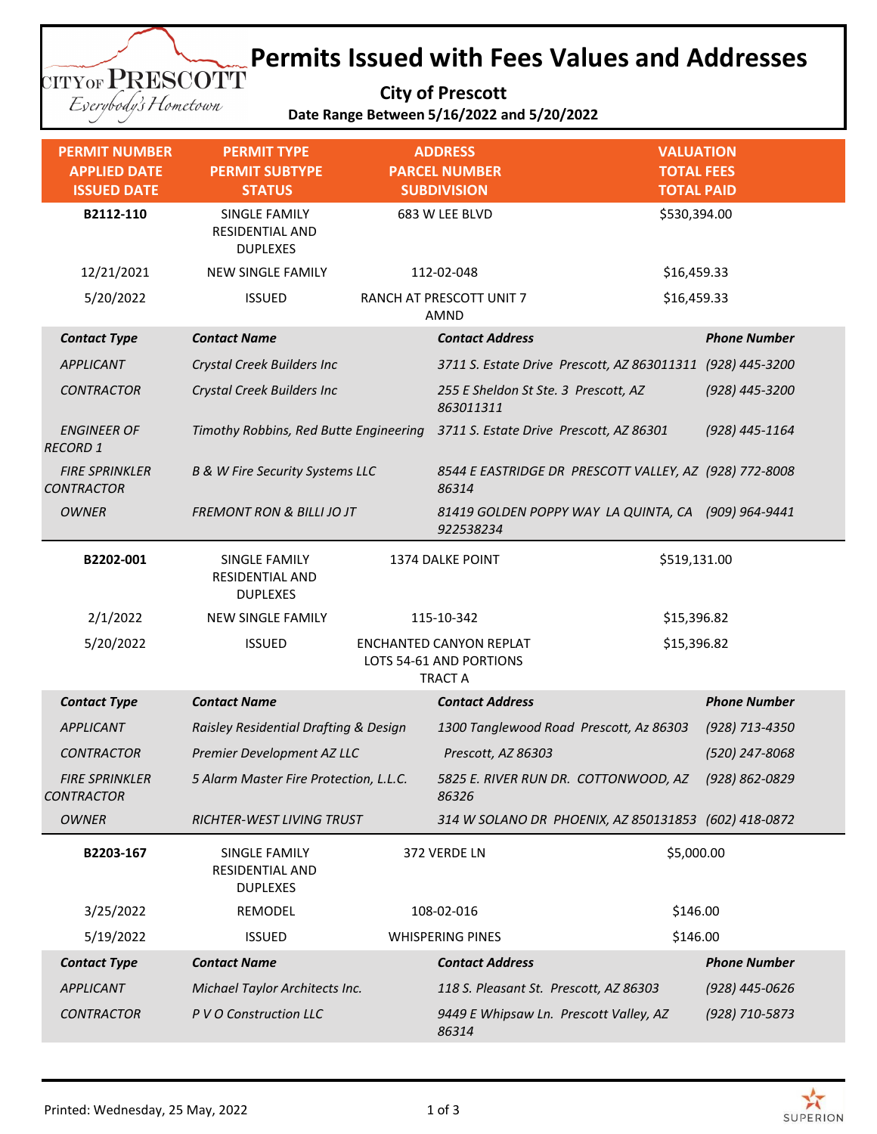## **Permits Issued with Fees Values and Addresses**

## **City of Prescott**

Everybody's Hometown

CITYOF PRESCOTT

| Date Range Between 5/16/2022 and 5/20/2022 |  |  |
|--------------------------------------------|--|--|

| <b>PERMIT NUMBER</b><br><b>APPLIED DATE</b><br><b>ISSUED DATE</b> | <b>PERMIT TYPE</b><br><b>PERMIT SUBTYPE</b><br><b>STATUS</b>                   | <b>ADDRESS</b><br><b>PARCEL NUMBER</b><br><b>SUBDIVISION</b> |                                                                             |                                                           | <b>VALUATION</b><br><b>TOTAL FEES</b><br><b>TOTAL PAID</b> |  |
|-------------------------------------------------------------------|--------------------------------------------------------------------------------|--------------------------------------------------------------|-----------------------------------------------------------------------------|-----------------------------------------------------------|------------------------------------------------------------|--|
| B2112-110                                                         | SINGLE FAMILY<br><b>RESIDENTIAL AND</b><br><b>DUPLEXES</b>                     |                                                              | 683 W LEE BLVD                                                              | \$530,394.00                                              |                                                            |  |
| 12/21/2021                                                        | <b>NEW SINGLE FAMILY</b>                                                       |                                                              | 112-02-048                                                                  | \$16,459.33                                               |                                                            |  |
| 5/20/2022                                                         | <b>ISSUED</b>                                                                  |                                                              | RANCH AT PRESCOTT UNIT 7<br>AMND                                            | \$16,459.33                                               |                                                            |  |
| <b>Contact Type</b>                                               | <b>Contact Name</b>                                                            |                                                              | <b>Contact Address</b>                                                      |                                                           | <b>Phone Number</b>                                        |  |
| <b>APPLICANT</b>                                                  | Crystal Creek Builders Inc                                                     |                                                              | 3711 S. Estate Drive Prescott, AZ 863011311                                 |                                                           | (928) 445-3200                                             |  |
| <b>CONTRACTOR</b>                                                 | Crystal Creek Builders Inc                                                     |                                                              | 255 E Sheldon St Ste. 3 Prescott, AZ<br>863011311                           |                                                           | (928) 445-3200                                             |  |
| <b>ENGINEER OF</b><br><b>RECORD 1</b>                             | Timothy Robbins, Red Butte Engineering 3711 S. Estate Drive Prescott, AZ 86301 |                                                              |                                                                             |                                                           | (928) 445-1164                                             |  |
| <b>FIRE SPRINKLER</b><br><b>CONTRACTOR</b>                        | <b>B &amp; W Fire Security Systems LLC</b>                                     |                                                              | 8544 E EASTRIDGE DR PRESCOTT VALLEY, AZ (928) 772-8008<br>86314             |                                                           |                                                            |  |
| <b>OWNER</b>                                                      | <b>FREMONT RON &amp; BILLI JO JT</b>                                           |                                                              | 81419 GOLDEN POPPY WAY LA QUINTA, CA (909) 964-9441<br>922538234            |                                                           |                                                            |  |
| B2202-001                                                         | SINGLE FAMILY<br>RESIDENTIAL AND<br><b>DUPLEXES</b>                            |                                                              | 1374 DALKE POINT                                                            | \$519,131.00                                              |                                                            |  |
| 2/1/2022                                                          | <b>NEW SINGLE FAMILY</b>                                                       |                                                              | 115-10-342                                                                  | \$15,396.82                                               |                                                            |  |
| 5/20/2022                                                         | <b>ISSUED</b>                                                                  |                                                              | <b>ENCHANTED CANYON REPLAT</b><br>LOTS 54-61 AND PORTIONS<br><b>TRACT A</b> | \$15,396.82                                               |                                                            |  |
| <b>Contact Type</b>                                               | <b>Contact Name</b>                                                            |                                                              | <b>Contact Address</b>                                                      |                                                           | <b>Phone Number</b>                                        |  |
| <b>APPLICANT</b>                                                  | Raisley Residential Drafting & Design                                          |                                                              |                                                                             | 1300 Tanglewood Road Prescott, Az 86303<br>(928) 713-4350 |                                                            |  |
| <b>CONTRACTOR</b>                                                 | Premier Development AZ LLC                                                     |                                                              | Prescott, AZ 86303                                                          |                                                           | (520) 247-8068                                             |  |
| <b>FIRE SPRINKLER</b><br><b>CONTRACTOR</b>                        | 5 Alarm Master Fire Protection, L.L.C.                                         |                                                              | 5825 E. RIVER RUN DR. COTTONWOOD, AZ (928) 862-0829<br>86326                |                                                           |                                                            |  |
| <b>OWNER</b>                                                      | RICHTER-WEST LIVING TRUST                                                      |                                                              | 314 W SOLANO DR PHOENIX, AZ 850131853 (602) 418-0872                        |                                                           |                                                            |  |
| B2203-167                                                         | SINGLE FAMILY<br><b>RESIDENTIAL AND</b><br><b>DUPLEXES</b>                     |                                                              | 372 VERDE LN                                                                | \$5,000.00                                                |                                                            |  |
| 3/25/2022                                                         | REMODEL                                                                        |                                                              | 108-02-016                                                                  | \$146.00                                                  |                                                            |  |
| 5/19/2022                                                         | <b>ISSUED</b>                                                                  |                                                              | <b>WHISPERING PINES</b>                                                     | \$146.00                                                  |                                                            |  |
| <b>Contact Type</b>                                               | <b>Contact Name</b>                                                            |                                                              | <b>Contact Address</b>                                                      |                                                           | <b>Phone Number</b>                                        |  |
| <b>APPLICANT</b>                                                  | Michael Taylor Architects Inc.                                                 |                                                              | 118 S. Pleasant St. Prescott, AZ 86303                                      |                                                           | $(928)$ 445-0626                                           |  |
| <b>CONTRACTOR</b>                                                 | P V O Construction LLC                                                         |                                                              | 9449 E Whipsaw Ln. Prescott Valley, AZ<br>86314                             |                                                           | (928) 710-5873                                             |  |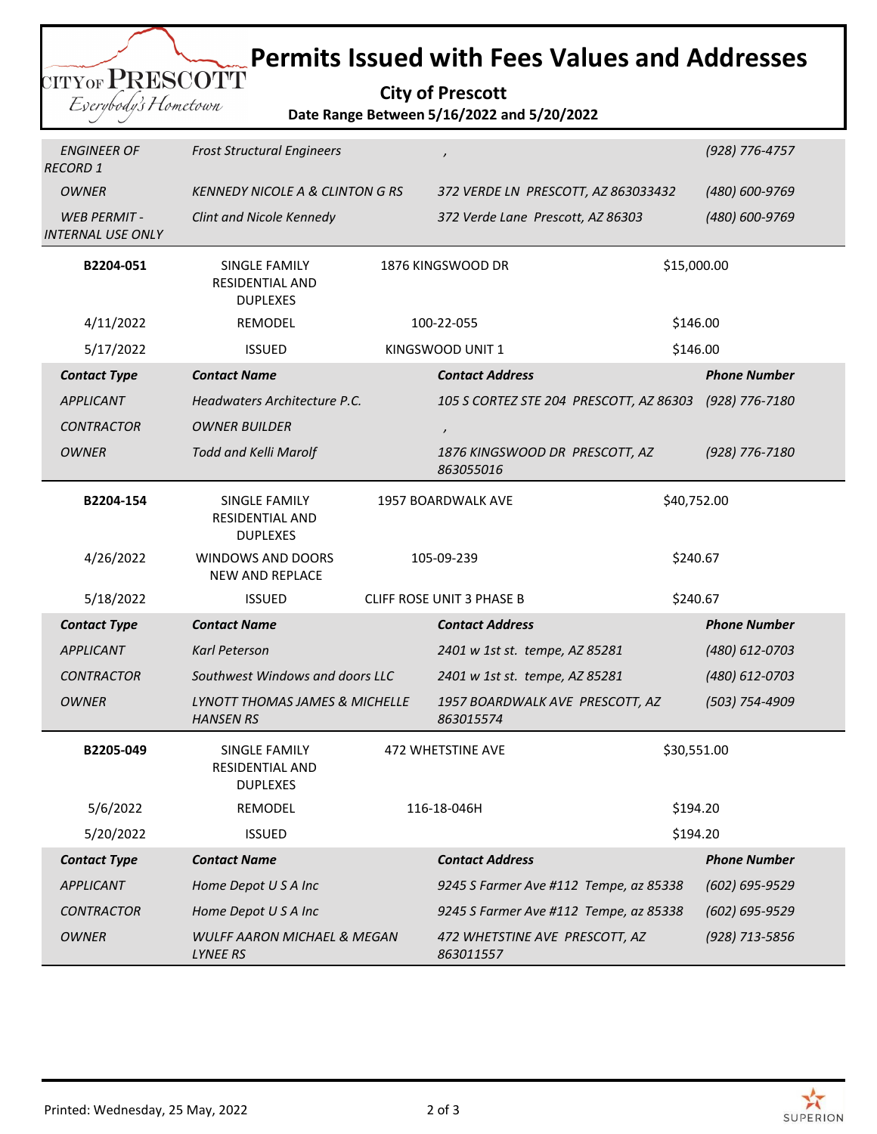## **Permits Issued with Fees Values and Addresses**

**TITYOF PRESCOTT** Everybody's Hometown

**City of Prescott Date Range Between 5/16/2022 and 5/20/2022**

| <b>ENGINEER OF</b><br><b>RECORD 1</b>           | <b>Frost Structural Engineers</b>                                 |  | $\prime$                                               |             | $(928)$ 776-4757    |
|-------------------------------------------------|-------------------------------------------------------------------|--|--------------------------------------------------------|-------------|---------------------|
| <b>OWNER</b>                                    | KENNEDY NICOLE A & CLINTON G RS                                   |  | 372 VERDE LN PRESCOTT, AZ 863033432                    |             | (480) 600-9769      |
| <b>WEB PERMIT -</b><br><b>INTERNAL USE ONLY</b> | Clint and Nicole Kennedy                                          |  | 372 Verde Lane Prescott, AZ 86303                      |             | (480) 600-9769      |
| B2204-051                                       | SINGLE FAMILY<br>RESIDENTIAL AND<br><b>DUPLEXES</b>               |  | 1876 KINGSWOOD DR                                      | \$15,000.00 |                     |
| 4/11/2022                                       | REMODEL                                                           |  | 100-22-055                                             | \$146.00    |                     |
| 5/17/2022                                       | <b>ISSUED</b>                                                     |  | KINGSWOOD UNIT 1                                       | \$146.00    |                     |
| <b>Contact Type</b>                             | <b>Contact Name</b>                                               |  | <b>Contact Address</b>                                 |             | <b>Phone Number</b> |
| <b>APPLICANT</b>                                | Headwaters Architecture P.C.                                      |  | 105 S CORTEZ STE 204 PRESCOTT, AZ 86303 (928) 776-7180 |             |                     |
| <b>CONTRACTOR</b>                               | <b>OWNER BUILDER</b>                                              |  | $\prime$                                               |             |                     |
| <b>OWNER</b>                                    | <b>Todd and Kelli Marolf</b>                                      |  | 1876 KINGSWOOD DR PRESCOTT, AZ<br>863055016            |             | $(928)$ 776-7180    |
| B2204-154                                       | SINGLE FAMILY<br><b>RESIDENTIAL AND</b><br><b>DUPLEXES</b>        |  | <b>1957 BOARDWALK AVE</b>                              | \$40,752.00 |                     |
| 4/26/2022                                       | WINDOWS AND DOORS<br><b>NEW AND REPLACE</b>                       |  | 105-09-239                                             | \$240.67    |                     |
| 5/18/2022                                       | <b>ISSUED</b>                                                     |  | <b>CLIFF ROSE UNIT 3 PHASE B</b>                       | \$240.67    |                     |
| <b>Contact Type</b>                             | <b>Contact Name</b>                                               |  | <b>Contact Address</b>                                 |             | <b>Phone Number</b> |
| <b>APPLICANT</b>                                | <b>Karl Peterson</b>                                              |  | 2401 w 1st st. tempe, AZ 85281                         |             | (480) 612-0703      |
| <b>CONTRACTOR</b>                               | Southwest Windows and doors LLC                                   |  | 2401 w 1st st. tempe, AZ 85281                         |             | (480) 612-0703      |
| <b>OWNER</b>                                    | <b>LYNOTT THOMAS JAMES &amp; MICHELLE</b><br><b>HANSEN RS</b>     |  | 1957 BOARDWALK AVE PRESCOTT, AZ<br>863015574           |             | (503) 754-4909      |
| B2205-049                                       | <b>SINGLE FAMILY</b><br><b>RESIDENTIAL AND</b><br><b>DUPLEXES</b> |  | <b>472 WHETSTINE AVE</b>                               | \$30,551.00 |                     |
| 5/6/2022                                        | REMODEL                                                           |  | 116-18-046H                                            | \$194.20    |                     |
| 5/20/2022                                       | <b>ISSUED</b>                                                     |  |                                                        | \$194.20    |                     |
| <b>Contact Type</b>                             | <b>Contact Name</b>                                               |  | <b>Contact Address</b>                                 |             | <b>Phone Number</b> |
| <b>APPLICANT</b>                                | Home Depot U S A Inc                                              |  | 9245 S Farmer Ave #112 Tempe, az 85338                 |             | (602) 695-9529      |
| <b>CONTRACTOR</b>                               | Home Depot U S A Inc                                              |  | 9245 S Farmer Ave #112 Tempe, az 85338                 |             | $(602) 695 - 9529$  |
| <b>OWNER</b>                                    | WULFF AARON MICHAEL & MEGAN<br><b>LYNEE RS</b>                    |  | 472 WHETSTINE AVE PRESCOTT, AZ<br>863011557            |             | $(928)$ 713-5856    |